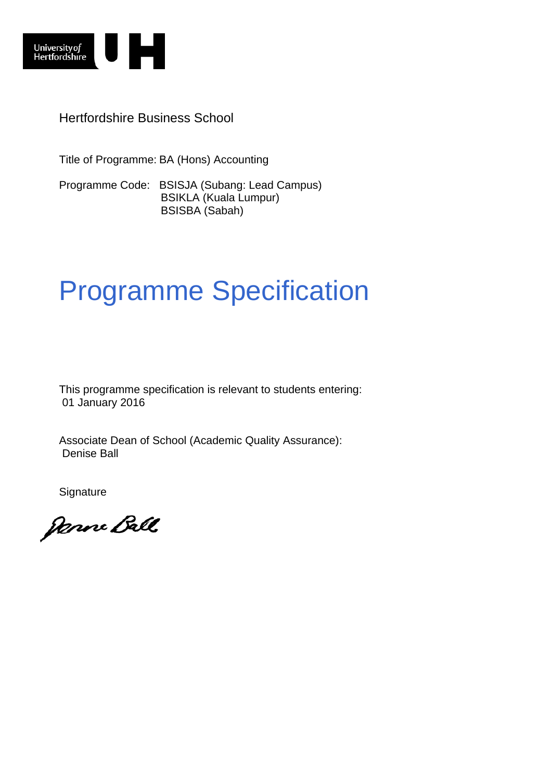

Hertfordshire Business School

Title of Programme: BA (Hons) Accounting

Programme Code: BSISJA (Subang: Lead Campus) BSIKLA (Kuala Lumpur) BSISBA (Sabah)

# Programme Specification

This programme specification is relevant to students entering: 01 January 2016

Associate Dean of School (Academic Quality Assurance): Denise Ball

**Signature** 

Janne Ball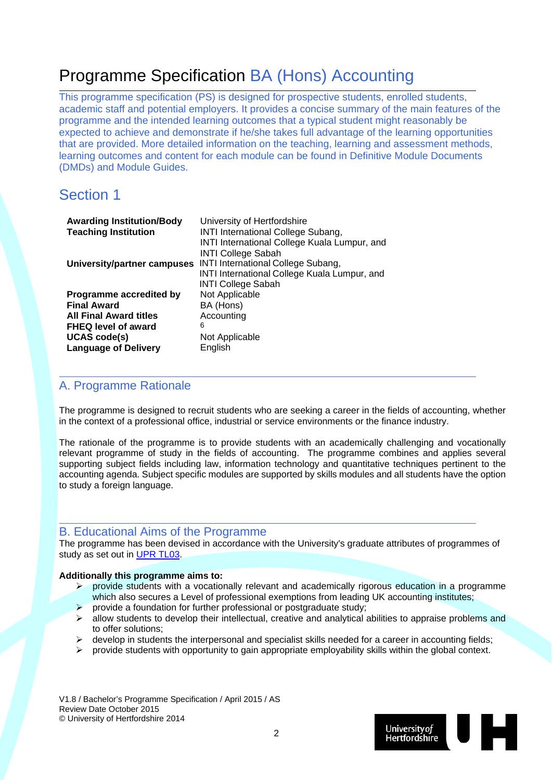## Programme Specification BA (Hons) Accounting

This programme specification (PS) is designed for prospective students, enrolled students, academic staff and potential employers. It provides a concise summary of the main features of the programme and the intended learning outcomes that a typical student might reasonably be expected to achieve and demonstrate if he/she takes full advantage of the learning opportunities that are provided. More detailed information on the teaching, learning and assessment methods, learning outcomes and content for each module can be found in Definitive Module Documents (DMDs) and Module Guides.

### Section 1

| <b>Awarding Institution/Body</b> | University of Hertfordshire                  |
|----------------------------------|----------------------------------------------|
| <b>Teaching Institution</b>      | <b>INTI International College Subang,</b>    |
|                                  | INTI International College Kuala Lumpur, and |
|                                  | <b>INTI College Sabah</b>                    |
| University/partner campuses      | INTI International College Subang,           |
|                                  | INTI International College Kuala Lumpur, and |
|                                  | <b>INTI College Sabah</b>                    |
| Programme accredited by          | Not Applicable                               |
| <b>Final Award</b>               | BA (Hons)                                    |
| <b>All Final Award titles</b>    | Accounting                                   |
| <b>FHEQ level of award</b>       | 6                                            |
| <b>UCAS code(s)</b>              | Not Applicable                               |
| <b>Language of Delivery</b>      | English                                      |

### A. Programme Rationale

The programme is designed to recruit students who are seeking a career in the fields of accounting, whether in the context of a professional office, industrial or service environments or the finance industry.

The rationale of the programme is to provide students with an academically challenging and vocationally relevant programme of study in the fields of accounting. The programme combines and applies several supporting subject fields including law, information technology and quantitative techniques pertinent to the accounting agenda. Subject specific modules are supported by skills modules and all students have the option to study a foreign language.

### B. Educational Aims of the Programme

The programme has been devised in accordance with the University's graduate attributes of programmes of study as set out in UPR TL03.

#### **Additionally this programme aims to:**

- $\triangleright$  provide students with a vocationally relevant and academically rigorous education in a programme which also secures a Level of professional exemptions from leading UK accounting institutes;
- $\triangleright$  provide a foundation for further professional or postgraduate study;
- $\triangleright$  allow students to develop their intellectual, creative and analytical abilities to appraise problems and to offer solutions;
- develop in students the interpersonal and specialist skills needed for a career in accounting fields;
- provide students with opportunity to gain appropriate employability skills within the global context.

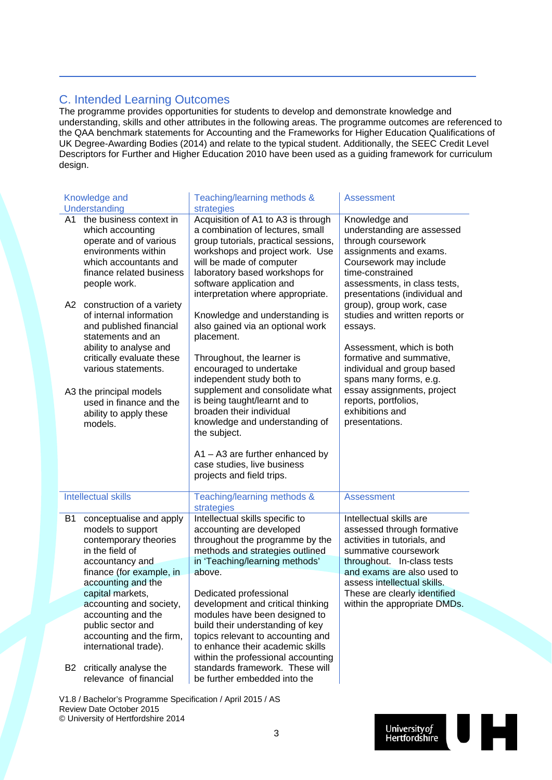### C. Intended Learning Outcomes

The programme provides opportunities for students to develop and demonstrate knowledge and understanding, skills and other attributes in the following areas. The programme outcomes are referenced to the QAA benchmark statements for Accounting and the Frameworks for Higher Education Qualifications of UK Degree-Awarding Bodies (2014) and relate to the typical student. Additionally, the SEEC Credit Level Descriptors for Further and Higher Education 2010 have been used as a guiding framework for curriculum design.

|           | Knowledge and                                                                                                                                                                                                                            | Teaching/learning methods &                                                                                                                                                                                                                                                      | <b>Assessment</b>                                                                                                                                                                                                                            |
|-----------|------------------------------------------------------------------------------------------------------------------------------------------------------------------------------------------------------------------------------------------|----------------------------------------------------------------------------------------------------------------------------------------------------------------------------------------------------------------------------------------------------------------------------------|----------------------------------------------------------------------------------------------------------------------------------------------------------------------------------------------------------------------------------------------|
|           | Understanding                                                                                                                                                                                                                            | strategies                                                                                                                                                                                                                                                                       |                                                                                                                                                                                                                                              |
| A1.       | the business context in<br>which accounting<br>operate and of various<br>environments within<br>which accountants and<br>finance related business<br>people work.                                                                        | Acquisition of A1 to A3 is through<br>a combination of lectures, small<br>group tutorials, practical sessions,<br>workshops and project work. Use<br>will be made of computer<br>laboratory based workshops for<br>software application and<br>interpretation where appropriate. | Knowledge and<br>understanding are assessed<br>through coursework<br>assignments and exams.<br>Coursework may include<br>time-constrained<br>assessments, in class tests,<br>presentations (individual and                                   |
| A2        | construction of a variety<br>of internal information<br>and published financial<br>statements and an<br>ability to analyse and<br>critically evaluate these<br>various statements.<br>A3 the principal models<br>used in finance and the | Knowledge and understanding is<br>also gained via an optional work<br>placement.<br>Throughout, the learner is<br>encouraged to undertake<br>independent study both to<br>supplement and consolidate what<br>is being taught/learnt and to                                       | group), group work, case<br>studies and written reports or<br>essays.<br>Assessment, which is both<br>formative and summative,<br>individual and group based<br>spans many forms, e.g.<br>essay assignments, project<br>reports, portfolios, |
|           | ability to apply these<br>models.<br><b>Intellectual skills</b>                                                                                                                                                                          | broaden their individual<br>knowledge and understanding of<br>the subject.<br>$A1 - A3$ are further enhanced by<br>case studies, live business<br>projects and field trips.<br>Teaching/learning methods &                                                                       | exhibitions and<br>presentations.<br><b>Assessment</b>                                                                                                                                                                                       |
|           |                                                                                                                                                                                                                                          | strategies                                                                                                                                                                                                                                                                       |                                                                                                                                                                                                                                              |
| <b>B1</b> | conceptualise and apply<br>models to support<br>contemporary theories<br>in the field of<br>accountancy and<br>finance (for example, in<br>accounting and the<br>capital markets,                                                        | Intellectual skills specific to<br>accounting are developed<br>throughout the programme by the<br>methods and strategies outlined<br>in 'Teaching/learning methods'<br>above.<br>Dedicated professional                                                                          | Intellectual skills are<br>assessed through formative<br>activities in tutorials, and<br>summative coursework<br>throughout. In-class tests<br>and exams are also used to<br>assess intellectual skills.<br>These are clearly identified     |
|           | accounting and society,                                                                                                                                                                                                                  | development and critical thinking                                                                                                                                                                                                                                                | within the appropriate DMDs.                                                                                                                                                                                                                 |
| B2        | accounting and the<br>public sector and<br>accounting and the firm,<br>international trade).<br>critically analyse the<br>relevance of financial                                                                                         | modules have been designed to<br>build their understanding of key<br>topics relevant to accounting and<br>to enhance their academic skills<br>within the professional accounting<br>standards framework. These will<br>be further embedded into the                              |                                                                                                                                                                                                                                              |

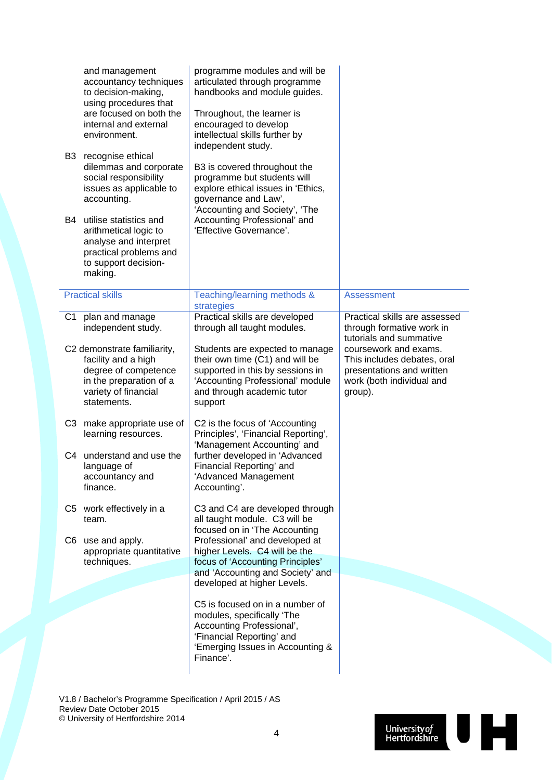| B3<br>B4       | and management<br>accountancy techniques<br>to decision-making,<br>using procedures that<br>are focused on both the<br>internal and external<br>environment.<br>recognise ethical<br>dilemmas and corporate<br>social responsibility<br>issues as applicable to<br>accounting.<br>utilise statistics and<br>arithmetical logic to<br>analyse and interpret<br>practical problems and<br>to support decision-<br>making. | programme modules and will be<br>articulated through programme<br>handbooks and module guides.<br>Throughout, the learner is<br>encouraged to develop<br>intellectual skills further by<br>independent study.<br>B3 is covered throughout the<br>programme but students will<br>explore ethical issues in 'Ethics,<br>governance and Law',<br>'Accounting and Society', 'The<br>Accounting Professional' and<br>'Effective Governance'. |                                                                                                                |
|----------------|-------------------------------------------------------------------------------------------------------------------------------------------------------------------------------------------------------------------------------------------------------------------------------------------------------------------------------------------------------------------------------------------------------------------------|-----------------------------------------------------------------------------------------------------------------------------------------------------------------------------------------------------------------------------------------------------------------------------------------------------------------------------------------------------------------------------------------------------------------------------------------|----------------------------------------------------------------------------------------------------------------|
|                | <b>Practical skills</b>                                                                                                                                                                                                                                                                                                                                                                                                 | Teaching/learning methods &<br>strategies                                                                                                                                                                                                                                                                                                                                                                                               | <b>Assessment</b>                                                                                              |
| C <sub>1</sub> | plan and manage<br>independent study.<br>C2 demonstrate familiarity,                                                                                                                                                                                                                                                                                                                                                    | Practical skills are developed<br>through all taught modules.<br>Students are expected to manage                                                                                                                                                                                                                                                                                                                                        | Practical skills are assessed<br>through formative work in<br>tutorials and summative<br>coursework and exams. |
|                | facility and a high<br>degree of competence<br>in the preparation of a<br>variety of financial<br>statements.                                                                                                                                                                                                                                                                                                           | their own time (C1) and will be<br>supported in this by sessions in<br>'Accounting Professional' module<br>and through academic tutor<br>support                                                                                                                                                                                                                                                                                        | This includes debates, oral<br>presentations and written<br>work (both individual and<br>group).               |
| C3             | make appropriate use of<br>learning resources.                                                                                                                                                                                                                                                                                                                                                                          | C2 is the focus of 'Accounting<br>Principles', 'Financial Reporting',<br>'Management Accounting' and                                                                                                                                                                                                                                                                                                                                    |                                                                                                                |
| C4             | understand and use the<br>language of<br>accountancy and<br>finance.                                                                                                                                                                                                                                                                                                                                                    | further developed in 'Advanced<br>Financial Reporting' and<br>'Advanced Management<br>Accounting'.                                                                                                                                                                                                                                                                                                                                      |                                                                                                                |
|                | C5 work effectively in a<br>team.                                                                                                                                                                                                                                                                                                                                                                                       | C3 and C4 are developed through<br>all taught module. C3 will be<br>focused on in 'The Accounting                                                                                                                                                                                                                                                                                                                                       |                                                                                                                |
|                | C6 use and apply.<br>appropriate quantitative<br>techniques.                                                                                                                                                                                                                                                                                                                                                            | Professional' and developed at<br>higher Levels. C4 will be the<br>focus of 'Accounting Principles'                                                                                                                                                                                                                                                                                                                                     |                                                                                                                |
|                |                                                                                                                                                                                                                                                                                                                                                                                                                         | and 'Accounting and Society' and<br>developed at higher Levels.                                                                                                                                                                                                                                                                                                                                                                         |                                                                                                                |
|                |                                                                                                                                                                                                                                                                                                                                                                                                                         | C5 is focused on in a number of                                                                                                                                                                                                                                                                                                                                                                                                         |                                                                                                                |
|                |                                                                                                                                                                                                                                                                                                                                                                                                                         | modules, specifically 'The<br>Accounting Professional',<br>'Financial Reporting' and<br>'Emerging Issues in Accounting &<br>Finance'.                                                                                                                                                                                                                                                                                                   |                                                                                                                |
|                |                                                                                                                                                                                                                                                                                                                                                                                                                         |                                                                                                                                                                                                                                                                                                                                                                                                                                         |                                                                                                                |

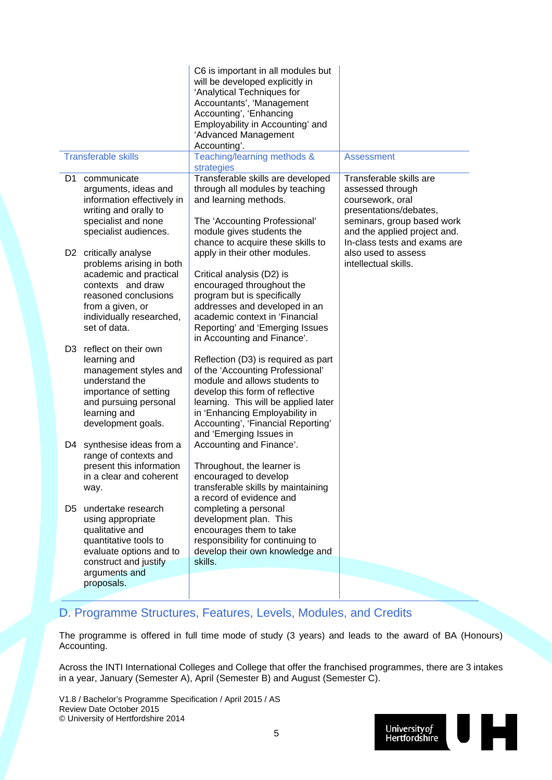|     |                                                                                                                                                                                          | C6 is important in all modules but<br>will be developed explicitly in<br>'Analytical Techniques for<br>Accountants', 'Management<br>Accounting', 'Enhancing<br>Employability in Accounting' and<br>'Advanced Management<br>Accounting'.                                                |                                                                                                                                                                                         |
|-----|------------------------------------------------------------------------------------------------------------------------------------------------------------------------------------------|----------------------------------------------------------------------------------------------------------------------------------------------------------------------------------------------------------------------------------------------------------------------------------------|-----------------------------------------------------------------------------------------------------------------------------------------------------------------------------------------|
|     | <b>Transferable skills</b>                                                                                                                                                               | Teaching/learning methods &<br>strategies                                                                                                                                                                                                                                              | <b>Assessment</b>                                                                                                                                                                       |
| D1. | communicate<br>arguments, ideas and<br>information effectively in<br>writing and orally to<br>specialist and none<br>specialist audiences.                                               | Transferable skills are developed<br>through all modules by teaching<br>and learning methods.<br>The 'Accounting Professional'<br>module gives students the<br>chance to acquire these skills to                                                                                       | Transferable skills are<br>assessed through<br>coursework, oral<br>presentations/debates,<br>seminars, group based work<br>and the applied project and.<br>In-class tests and exams are |
|     | D2 critically analyse<br>problems arising in both<br>academic and practical<br>contexts and draw<br>reasoned conclusions<br>from a given, or<br>individually researched,<br>set of data. | apply in their other modules.<br>Critical analysis (D2) is<br>encouraged throughout the<br>program but is specifically<br>addresses and developed in an<br>academic context in 'Financial<br>Reporting' and 'Emerging Issues<br>in Accounting and Finance'.                            | also used to assess<br>intellectual skills.                                                                                                                                             |
|     | D <sub>3</sub> reflect on their own<br>learning and<br>management styles and<br>understand the<br>importance of setting<br>and pursuing personal<br>learning and<br>development goals.   | Reflection (D3) is required as part<br>of the 'Accounting Professional'<br>module and allows students to<br>develop this form of reflective<br>learning. This will be applied later<br>in 'Enhancing Employability in<br>Accounting', 'Financial Reporting'<br>and 'Emerging Issues in |                                                                                                                                                                                         |
| D4  | synthesise ideas from a<br>range of contexts and<br>present this information<br>in a clear and coherent<br>way.                                                                          | Accounting and Finance'.<br>Throughout, the learner is<br>encouraged to develop<br>transferable skills by maintaining<br>a record of evidence and                                                                                                                                      |                                                                                                                                                                                         |
| D5. | undertake research<br>using appropriate<br>qualitative and<br>quantitative tools to<br>evaluate options and to<br>construct and justify<br>arguments and<br>proposals.                   | completing a personal<br>development plan. This<br>encourages them to take<br>responsibility for continuing to<br>develop their own knowledge and<br>skills.                                                                                                                           |                                                                                                                                                                                         |
|     |                                                                                                                                                                                          |                                                                                                                                                                                                                                                                                        |                                                                                                                                                                                         |

### D. Programme Structures, Features, Levels, Modules, and Credits

The programme is offered in full time mode of study (3 years) and leads to the award of BA (Honours) Accounting.

Across the INTI International Colleges and College that offer the franchised programmes, there are 3 intakes in a year, January (Semester A), April (Semester B) and August (Semester C).

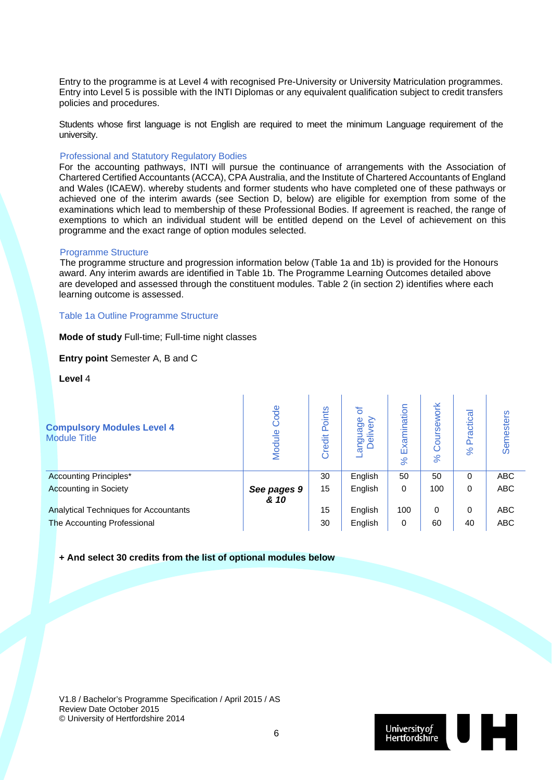Entry to the programme is at Level 4 with recognised Pre-University or University Matriculation programmes. Entry into Level 5 is possible with the INTI Diplomas or any equivalent qualification subject to credit transfers policies and procedures.

Students whose first language is not English are required to meet the minimum Language requirement of the university.

#### Professional and Statutory Regulatory Bodies

For the accounting pathways, INTI will pursue the continuance of arrangements with the Association of Chartered Certified Accountants (ACCA), CPA Australia, and the Institute of Chartered Accountants of England and Wales (ICAEW). whereby students and former students who have completed one of these pathways or achieved one of the interim awards (see Section D, below) are eligible for exemption from some of the examinations which lead to membership of these Professional Bodies. If agreement is reached, the range of exemptions to which an individual student will be entitled depend on the Level of achievement on this programme and the exact range of option modules selected.

#### Programme Structure

The programme structure and progression information below (Table 1a and 1b) is provided for the Honours award. Any interim awards are identified in Table 1b. The Programme Learning Outcomes detailed above are developed and assessed through the constituent modules. Table 2 (in section 2) identifies where each learning outcome is assessed.

#### Table 1a Outline Programme Structure

**Mode of study** Full-time; Full-time night classes

**Entry point** Semester A, B and C

**Level** 4

| <b>Compulsory Modules Level 4</b><br><b>Module Title</b> | Code<br>Module | Points<br>Credit | ৳<br>uage<br>≧<br>$\omega$<br>≝<br>angu<br>Del | Examination<br>8 <sup>o</sup> | oursework<br>$\aleph$ | ractical<br>$\bar{\mathbf{a}}$<br>$\aleph$ | <b>Semesters</b> |
|----------------------------------------------------------|----------------|------------------|------------------------------------------------|-------------------------------|-----------------------|--------------------------------------------|------------------|
| Accounting Principles*                                   |                | 30               | English                                        | 50                            | 50                    | 0                                          | ABC              |
| <b>Accounting in Society</b>                             | See pages 9    | 15               | English                                        | 0                             | 100                   | 0                                          | <b>ABC</b>       |
|                                                          | & 10           |                  |                                                |                               |                       |                                            |                  |
| Analytical Techniques for Accountants                    |                | 15               | English                                        | 100                           | 0                     | 0                                          | <b>ABC</b>       |
| The Accounting Professional                              |                | 30               | English                                        | 0                             | 60                    | 40                                         | <b>ABC</b>       |

#### **+ And select 30 credits from the list of optional modules below**

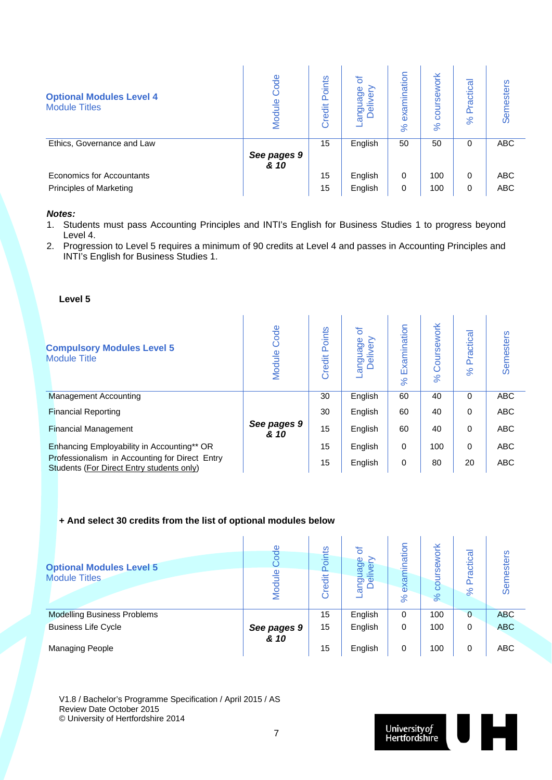| <b>Optional Modules Level 4</b><br><b>Module Titles</b> | Code<br>Module | Points<br>Credit | ৳<br><b>ge</b><br>guag<br>elive<br>$\frac{1}{6}$ $\circ$ | examination<br>$\aleph$ | work<br>rse<br>$\aleph$ | ctical<br>Pra<br>$\aleph$ | Semesters  |
|---------------------------------------------------------|----------------|------------------|----------------------------------------------------------|-------------------------|-------------------------|---------------------------|------------|
| Ethics, Governance and Law                              |                | 15               | English                                                  | 50                      | 50                      | 0                         | <b>ABC</b> |
|                                                         | See pages 9    |                  |                                                          |                         |                         |                           |            |
|                                                         | & 10           |                  |                                                          |                         |                         |                           |            |
| Economics for Accountants                               |                | 15               | English                                                  | 0                       | 100                     | 0                         | <b>ABC</b> |
| <b>Principles of Marketing</b>                          |                | 15               | English                                                  | 0                       | 100                     | 0                         | <b>ABC</b> |

#### *Notes:*

- 1. Students must pass Accounting Principles and INTI's English for Business Studies 1 to progress beyond Level 4.
- 2. Progression to Level 5 requires a minimum of 90 credits at Level 4 and passes in Accounting Principles and INTI's English for Business Studies 1.

#### **Level 5**

| <b>Compulsory Modules Level 5</b><br><b>Module Title</b>                                    | Code<br>Module      | Points<br>Credit | ৳<br>anguage<br>Delivery | Examination<br>$\aleph$ | Coursework<br>$\aleph$ | Practica<br>8 <sup>o</sup> | Semesters  |
|---------------------------------------------------------------------------------------------|---------------------|------------------|--------------------------|-------------------------|------------------------|----------------------------|------------|
| <b>Management Accounting</b>                                                                |                     | 30               | English                  | 60                      | 40                     | $\Omega$                   | <b>ABC</b> |
| <b>Financial Reporting</b>                                                                  |                     | 30               | English                  | 60                      | 40                     | 0                          | <b>ABC</b> |
| <b>Financial Management</b>                                                                 | See pages 9<br>& 10 | 15               | English                  | 60                      | 40                     | 0                          | <b>ABC</b> |
| Enhancing Employability in Accounting** OR                                                  |                     | 15               | English                  | 0                       | 100                    | 0                          | <b>ABC</b> |
| Professionalism in Accounting for Direct Entry<br>Students (For Direct Entry students only) |                     | 15               | English                  | 0                       | 80                     | 20                         | <b>ABC</b> |

#### **+ And select 30 credits from the list of optional modules below**

| <b>Optional Modules Level 5</b><br><b>Module Titles</b> | ode<br>$\frac{6}{1}$<br>$\check{\approxeq}$ | Points<br>redit<br>$\circ$ | ৳<br>90<br>€<br>ω<br>≔<br>angus<br>Deli | ination<br>exam<br>$\aleph$ | ork<br>$\omega$<br>ಠ<br>$\aleph$ | ctical<br>ᡕᡦ<br>Ò.<br>$\aleph$ | esters<br>Sem |
|---------------------------------------------------------|---------------------------------------------|----------------------------|-----------------------------------------|-----------------------------|----------------------------------|--------------------------------|---------------|
| <b>Modelling Business Problems</b>                      |                                             | 15                         | English                                 | 0                           | 100                              | $\Omega$                       | <b>ABC</b>    |
| <b>Business Life Cycle</b>                              | See pages 9<br>& 10                         | 15                         | English                                 | 0                           | 100                              | 0                              | <b>ABC</b>    |
| <b>Managing People</b>                                  |                                             | 15                         | English                                 | 0                           | 100                              | 0                              | <b>ABC</b>    |

l.

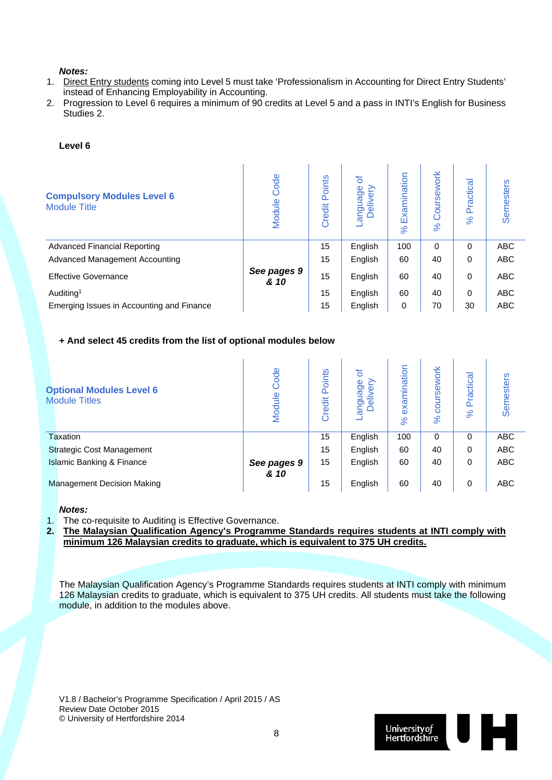#### *Notes:*

- 1. Direct Entry students coming into Level 5 must take 'Professionalism in Accounting for Direct Entry Students' instead of Enhancing Employability in Accounting.
- 2. Progression to Level 6 requires a minimum of 90 credits at Level 5 and a pass in INTI's English for Business Studies 2.

#### **Level 6**

| <b>Compulsory Modules Level 6</b><br><b>Module Title</b> | Code<br>Module      | Points<br>Credit | ৳<br>anguage<br>livery<br>$\sigma$<br>Ó | Examination<br>$\aleph$ | Coursework<br>$\aleph$ | Practical<br>8 <sup>o</sup> | <b>Semesters</b> |
|----------------------------------------------------------|---------------------|------------------|-----------------------------------------|-------------------------|------------------------|-----------------------------|------------------|
| <b>Advanced Financial Reporting</b>                      |                     | 15               | English                                 | 100                     | 0                      | 0                           | <b>ABC</b>       |
| <b>Advanced Management Accounting</b>                    |                     | 15               | English                                 | 60                      | 40                     | 0                           | <b>ABC</b>       |
| <b>Effective Governance</b>                              | See pages 9<br>& 10 | 15               | English                                 | 60                      | 40                     | $\Omega$                    | <b>ABC</b>       |
| Auditing <sup>1</sup>                                    |                     | 15               | English                                 | 60                      | 40                     | $\Omega$                    | <b>ABC</b>       |
| Emerging Issues in Accounting and Finance                |                     | 15               | English                                 | 0                       | 70                     | 30                          | <b>ABC</b>       |

#### **+ And select 45 credits from the list of optional modules below**

| <b>Optional Modules Level 6</b><br><b>Module Titles</b> | Code<br>Module      | oints<br>Õ.<br>Credit | ৳<br>uage<br>≧<br>Φ<br>≐<br>angu<br>Del | examination<br>$\aleph$ | ework<br>ဖ<br>ē<br>$\aleph$ | ctical<br>లై<br>ō.<br>$\aleph$ | <b>Semesters</b> |
|---------------------------------------------------------|---------------------|-----------------------|-----------------------------------------|-------------------------|-----------------------------|--------------------------------|------------------|
| <b>Taxation</b>                                         |                     | 15                    | English                                 | 100                     | $\Omega$                    | $\Omega$                       | ABC              |
| <b>Strategic Cost Management</b>                        |                     | 15                    | English                                 | 60                      | 40                          | 0                              | <b>ABC</b>       |
| <b>Islamic Banking &amp; Finance</b>                    | See pages 9<br>& 10 | 15                    | English                                 | 60                      | 40                          | 0                              | <b>ABC</b>       |
| <b>Management Decision Making</b>                       |                     | 15                    | English                                 | 60                      | 40                          | $\Omega$                       | <b>ABC</b>       |

#### *Notes:*

1. The co-requisite to Auditing is Effective Governance.

**2. The Malaysian Qualification Agency's Programme Standards requires students at INTI comply with minimum 126 Malaysian credits to graduate, which is equivalent to 375 UH credits.** 

The Malaysian Qualification Agency's Programme Standards requires students at INTI comply with minimum 126 Malaysian credits to graduate, which is equivalent to 375 UH credits. All students must take the following module, in addition to the modules above.

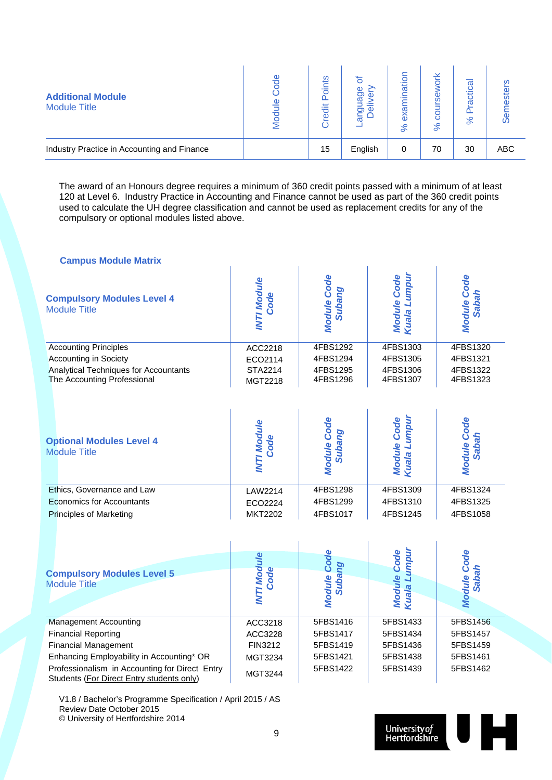| <b>Additional Module</b><br><b>Module Title</b> | Φ | ١Ë<br>ㅎ<br>Ф | 0<br>መ  | atior<br>ω<br>శ<br>$\aleph$ | ⊻<br>$\overline{\phantom{0}}$<br>೫ | $\sigma$<br>큥<br>π<br>$\aleph$ | ഗ   |
|-------------------------------------------------|---|--------------|---------|-----------------------------|------------------------------------|--------------------------------|-----|
| Industry Practice in Accounting and Finance     |   | 15           | English | 0                           | 70                                 | 30                             | ABC |

The award of an Honours degree requires a minimum of 360 credit points passed with a minimum of at least 120 at Level 6. Industry Practice in Accounting and Finance cannot be used as part of the 360 credit points used to calculate the UH degree classification and cannot be used as replacement credits for any of the compulsory or optional modules listed above.

| <b>Campus Module Matrix</b>                                                                 |                            |                              |                                    |                                    |
|---------------------------------------------------------------------------------------------|----------------------------|------------------------------|------------------------------------|------------------------------------|
| <b>Compulsory Modules Level 4</b><br><b>Module Title</b>                                    | <b>INTI Module</b><br>Code | <b>Module Code</b><br>Subang | Kuala Lumpur<br><b>Module Code</b> | <b>Module Code</b><br><b>Sabah</b> |
| <b>Accounting Principles</b>                                                                | ACC2218                    | 4FBS1292                     | 4FBS1303                           | 4FBS1320                           |
| <b>Accounting in Society</b>                                                                | ECO2114                    | 4FBS1294                     | 4FBS1305                           | 4FBS1321                           |
| Analytical Techniques for Accountants<br>The Accounting Professional                        | STA2214<br>MGT2218         | 4FBS1295<br>4FBS1296         | 4FBS1306<br>4FBS1307               | 4FBS1322<br>4FBS1323               |
| <b>Optional Modules Level 4</b><br><b>Module Title</b>                                      | <b>INTI Module</b><br>Code | <b>Module Code</b><br>Subang | Kuala Lumpur<br><b>Module Code</b> | <b>Module Code</b><br><b>Sabah</b> |
| Ethics, Governance and Law                                                                  | LAW2214                    | 4FBS1298                     | 4FBS1309                           | 4FBS1324                           |
| <b>Economics for Accountants</b>                                                            | ECO2224                    | 4FBS1299                     | 4FBS1310                           | 4FBS1325                           |
| <b>Principles of Marketing</b>                                                              | <b>MKT2202</b>             | 4FBS1017                     | 4FBS1245                           | 4FBS1058                           |
|                                                                                             | <b>INTI Module</b>         | <b>Module Code</b>           | Kuala Lumpur<br><b>Module Code</b> | <b>Module Code</b>                 |
| <b>Compulsory Modules Level 5</b>                                                           | <b>Code</b>                | Subang                       |                                    | <b>Sabah</b>                       |
| <b>Module Title</b>                                                                         |                            |                              |                                    |                                    |
|                                                                                             |                            |                              |                                    |                                    |
| <b>Management Accounting</b>                                                                | ACC3218                    | 5FBS1416                     | 5FBS1433                           | 5FBS1456                           |
| <b>Financial Reporting</b>                                                                  | ACC3228                    | 5FBS1417                     | 5FBS1434                           | 5FBS1457                           |
| <b>Financial Management</b>                                                                 | FIN3212                    | 5FBS1419                     | 5FBS1436                           | 5FBS1459                           |
| Enhancing Employability in Accounting* OR                                                   | MGT3234                    | 5FBS1421                     | 5FBS1438                           | 5FBS1461                           |
| Professionalism in Accounting for Direct Entry<br>Students (For Direct Entry students only) | MGT3244                    | 5FBS1422                     | 5FBS1439                           | 5FBS1462                           |

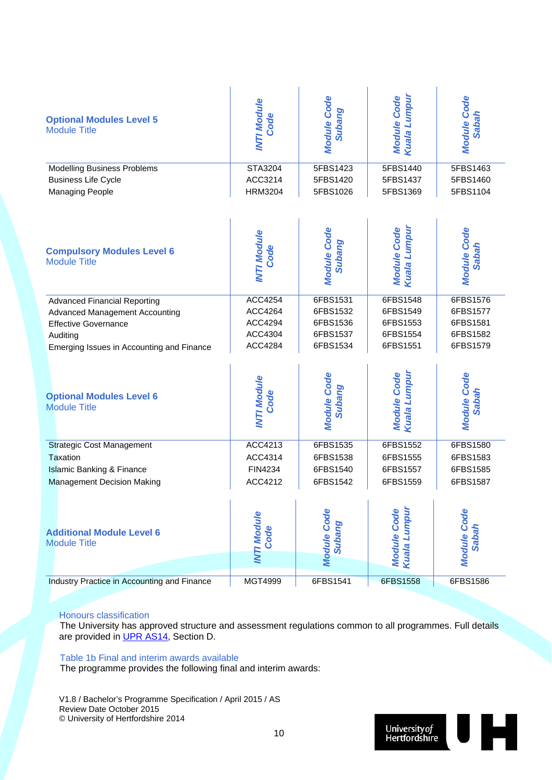| <b>Optional Modules Level 5</b>             | <b>INTI Module</b> | <b>Module Code</b> | Kuala Lumpur       | <b>Module Code</b> |
|---------------------------------------------|--------------------|--------------------|--------------------|--------------------|
| <b>Module Title</b>                         | Code               | Subang             | <b>Module Code</b> | <b>Sabah</b>       |
| <b>Modelling Business Problems</b>          | <b>STA3204</b>     | 5FBS1423           | 5FBS1440           | 5FBS1463           |
| <b>Business Life Cycle</b>                  | ACC3214            | 5FBS1420           | 5FBS1437           | 5FBS1460           |
| <b>Managing People</b>                      | <b>HRM3204</b>     | 5FBS1026           | 5FBS1369           | 5FBS1104           |
| <b>Compulsory Modules Level 6</b>           | <b>INTI Module</b> | <b>Module Code</b> | Kuala Lumpur       | <b>Module Code</b> |
| <b>Module Title</b>                         | Code               | Subang             | <b>Module Code</b> | <b>Sabah</b>       |
| <b>Advanced Financial Reporting</b>         | ACC4254            | 6FBS1531           | 6FBS1548           | 6FBS1576           |
| <b>Advanced Management Accounting</b>       | ACC4264            | 6FBS1532           | 6FBS1549           | 6FBS1577           |
| <b>Effective Governance</b>                 | ACC4294            | 6FBS1536           | 6FBS1553           | 6FBS1581           |
| Auditing                                    | ACC4304            | 6FBS1537           | 6FBS1554           | 6FBS1582           |
| Emerging Issues in Accounting and Finance   | ACC4284            | 6FBS1534           | 6FBS1551           | 6FBS1579           |
| <b>Optional Modules Level 6</b>             | <b>INTI Module</b> | <b>Module Code</b> | Kuala Lumpur       | <b>Module Code</b> |
| <b>Module Title</b>                         | Code               | Subang             | <b>Module Code</b> | <b>Sabah</b>       |
| <b>Strategic Cost Management</b>            | ACC4213            | 6FBS1535           | 6FBS1552           | 6FBS1580           |
| Taxation                                    | ACC4314            | 6FBS1538           | 6FBS1555           | 6FBS1583           |
| <b>Islamic Banking &amp; Finance</b>        | FIN4234            | 6FBS1540           | 6FBS1557           | 6FBS1585           |
| <b>Management Decision Making</b>           | ACC4212            | 6FBS1542           | 6FBS1559           | 6FBS1587           |
| <b>Additional Module Level 6</b>            | <b>INTI Module</b> | <b>Module Code</b> | Kuala Lumpur       | <b>Module Code</b> |
| <b>Module Title</b>                         | Code               | Subang             | <b>Module Code</b> | <b>Sabah</b>       |
| Industry Practice in Accounting and Finance | <b>MGT4999</b>     | 6FBS1541           | 6FBS1558           | 6FBS1586           |

#### Honours classification

The University has approved structure and assessment regulations common to all programmes. Full details are provided in UPR AS14, Section D.

Table 1b Final and interim awards available

The programme provides the following final and interim awards:

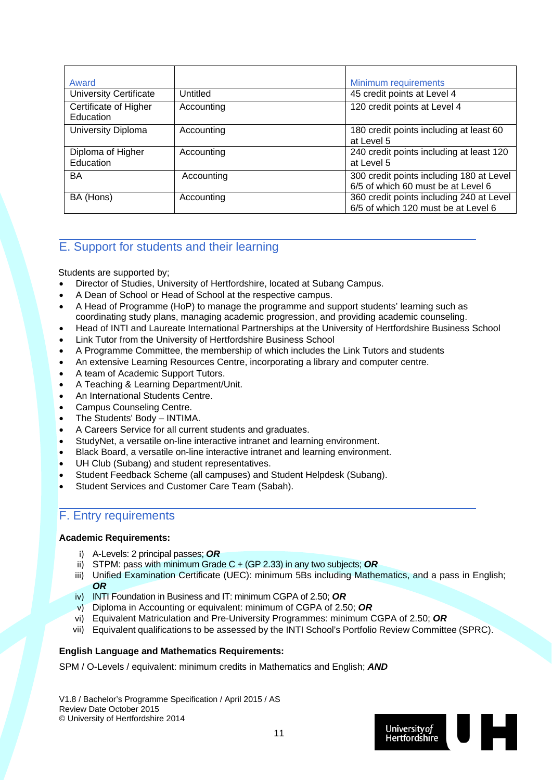| Award                              |            | Minimum requirements                                                            |
|------------------------------------|------------|---------------------------------------------------------------------------------|
| <b>University Certificate</b>      | Untitled   | 45 credit points at Level 4                                                     |
| Certificate of Higher<br>Education | Accounting | 120 credit points at Level 4                                                    |
| University Diploma                 | Accounting | 180 credit points including at least 60<br>at Level 5                           |
| Diploma of Higher<br>Education     | Accounting | 240 credit points including at least 120<br>at Level 5                          |
| BA                                 | Accounting | 300 credit points including 180 at Level<br>6/5 of which 60 must be at Level 6  |
| BA (Hons)                          | Accounting | 360 credit points including 240 at Level<br>6/5 of which 120 must be at Level 6 |

### E. Support for students and their learning

Students are supported by;

- Director of Studies, University of Hertfordshire, located at Subang Campus.
- A Dean of School or Head of School at the respective campus.
- A Head of Programme (HoP) to manage the programme and support students' learning such as coordinating study plans, managing academic progression, and providing academic counseling.
- Head of INTI and Laureate International Partnerships at the University of Hertfordshire Business School
- Link Tutor from the University of Hertfordshire Business School
- A Programme Committee, the membership of which includes the Link Tutors and students
- An extensive Learning Resources Centre, incorporating a library and computer centre.
- A team of Academic Support Tutors.
- A Teaching & Learning Department/Unit.
- An International Students Centre.
- Campus Counseling Centre.
- The Students' Body INTIMA.
- A Careers Service for all current students and graduates.
- StudyNet, a versatile on-line interactive intranet and learning environment.
- Black Board, a versatile on-line interactive intranet and learning environment.
- UH Club (Subang) and student representatives.
- Student Feedback Scheme (all campuses) and Student Helpdesk (Subang).
- Student Services and Customer Care Team (Sabah).

### F. Entry requirements

#### **Academic Requirements:**

- i) A-Levels: 2 principal passes; *OR*
- ii) STPM: pass with minimum Grade C + (GP 2.33) in any two subjects; *OR*
- iii) Unified Examination Certificate (UEC): minimum 5Bs including Mathematics, and a pass in English; *OR*
- iv) INTI Foundation in Business and IT: minimum CGPA of 2.50; *OR*
- v) Diploma in Accounting or equivalent: minimum of CGPA of 2.50; *OR*
- vi) Equivalent Matriculation and Pre-University Programmes: minimum CGPA of 2.50; *OR*
- vii) Equivalent qualifications to be assessed by the INTI School's Portfolio Review Committee (SPRC).

#### **English Language and Mathematics Requirements:**

SPM / O-Levels / equivalent: minimum credits in Mathematics and English; *AND*

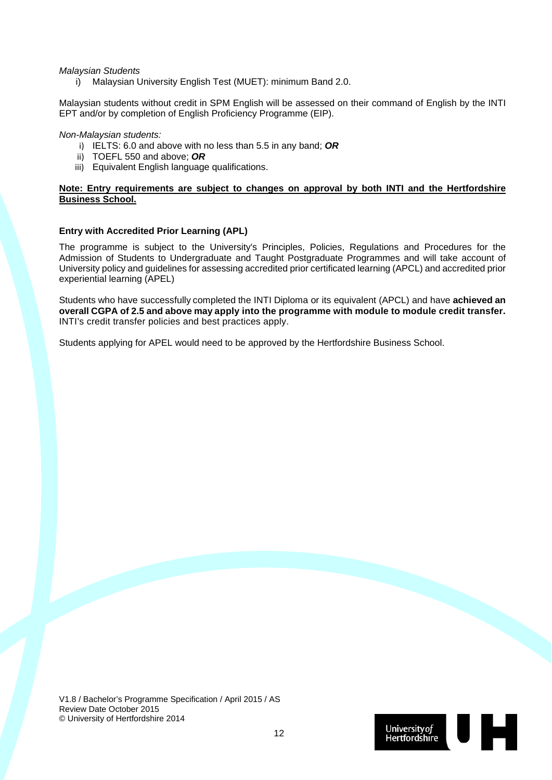*Malaysian Students* 

i) Malaysian University English Test (MUET): minimum Band 2.0.

Malaysian students without credit in SPM English will be assessed on their command of English by the INTI EPT and/or by completion of English Proficiency Programme (EIP).

#### *Non-Malaysian students:*

- i) IELTS: 6.0 and above with no less than 5.5 in any band; *OR*
- ii) TOEFL 550 and above; *OR*
- iii) Equivalent English language qualifications.

#### **Note: Entry requirements are subject to changes on approval by both INTI and the Hertfordshire Business School.**

#### **Entry with Accredited Prior Learning (APL)**

The programme is subject to the University's Principles, Policies, Regulations and Procedures for the Admission of Students to Undergraduate and Taught Postgraduate Programmes and will take account of University policy and guidelines for assessing accredited prior certificated learning (APCL) and accredited prior experiential learning (APEL)

Students who have successfully completed the INTI Diploma or its equivalent (APCL) and have **achieved an overall CGPA of 2.5 and above may apply into the programme with module to module credit transfer.**  INTI's credit transfer policies and best practices apply.

Students applying for APEL would need to be approved by the Hertfordshire Business School.

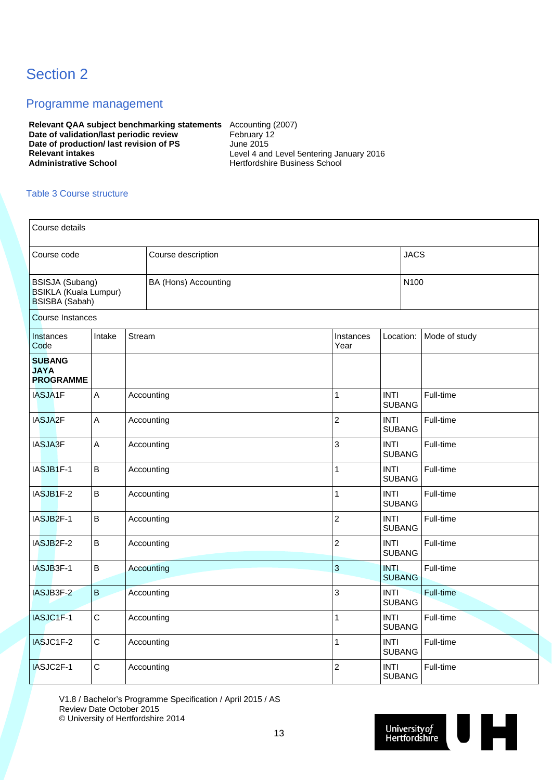## Section 2

### Programme management

**Relevant QAA subject benchmarking statements** Accounting (2007) **Date of validation/last periodic review February 12 Date of production/ last revision of PS** June 2015<br> **Relevant intakes** Level 4 and **Relevant intakes** <br> **Administrative School Level 4 and Level 5entering January 2016**<br> **Administrative School Level 3 and 2016**<br> **Level 4 and Level 5entering January 2016** 

**Administrative School** Hertfordshire Business School

#### Table 3 Course structure

| Course details                                                                  |             |        |                      |                   |                              |               |  |  |  |  |
|---------------------------------------------------------------------------------|-------------|--------|----------------------|-------------------|------------------------------|---------------|--|--|--|--|
| Course code                                                                     |             |        | Course description   |                   | <b>JACS</b>                  |               |  |  |  |  |
| <b>BSISJA (Subang)</b><br><b>BSIKLA (Kuala Lumpur)</b><br><b>BSISBA</b> (Sabah) |             |        | BA (Hons) Accounting |                   | N100                         |               |  |  |  |  |
| <b>Course Instances</b>                                                         |             |        |                      |                   |                              |               |  |  |  |  |
| Instances<br>Code                                                               | Intake      | Stream |                      | Instances<br>Year | Location:                    | Mode of study |  |  |  |  |
| <b>SUBANG</b><br><b>JAYA</b><br><b>PROGRAMME</b>                                |             |        |                      |                   |                              |               |  |  |  |  |
| IASJA1F                                                                         | A           |        | Accounting           | $\mathbf{1}$      | <b>INTI</b><br><b>SUBANG</b> | Full-time     |  |  |  |  |
| IASJA2F                                                                         | A           |        | Accounting           | $\overline{c}$    | <b>INTI</b><br><b>SUBANG</b> | Full-time     |  |  |  |  |
| <b>IASJA3F</b>                                                                  | A           |        | Accounting           | 3                 | <b>INTI</b><br><b>SUBANG</b> | Full-time     |  |  |  |  |
| IASJB1F-1                                                                       | $\sf B$     |        | Accounting           | $\mathbf{1}$      | <b>INTI</b><br><b>SUBANG</b> | Full-time     |  |  |  |  |
| IASJB1F-2                                                                       | $\sf B$     |        | Accounting           | $\mathbf{1}$      | <b>INTI</b><br><b>SUBANG</b> | Full-time     |  |  |  |  |
| IASJB <sub>2</sub> F-1                                                          | B           |        | Accounting           | $\overline{c}$    | <b>INTI</b><br><b>SUBANG</b> | Full-time     |  |  |  |  |
| IASJB2F-2                                                                       | $\sf B$     |        | Accounting           | $\overline{c}$    | <b>INTI</b><br><b>SUBANG</b> | Full-time     |  |  |  |  |
| IASJB3F-1                                                                       | B           |        | Accounting           | 3                 | <b>INTI</b><br><b>SUBANG</b> | Full-time     |  |  |  |  |
| IASJB3F-2                                                                       | $\sf B$     |        | Accounting           | 3                 | <b>INTI</b><br><b>SUBANG</b> | Full-time     |  |  |  |  |
| IASJC1F-1                                                                       | $\mathsf C$ |        | Accounting           | $\mathbf{1}$      | <b>INTI</b><br><b>SUBANG</b> | Full-time     |  |  |  |  |
| IASJC1F-2                                                                       | $\mathsf C$ |        | Accounting           | $\mathbf{1}$      | <b>INTI</b><br><b>SUBANG</b> | Full-time     |  |  |  |  |
| IASJC2F-1                                                                       | $\mathsf C$ |        | Accounting           | $\overline{c}$    | <b>INTI</b><br><b>SUBANG</b> | Full-time     |  |  |  |  |

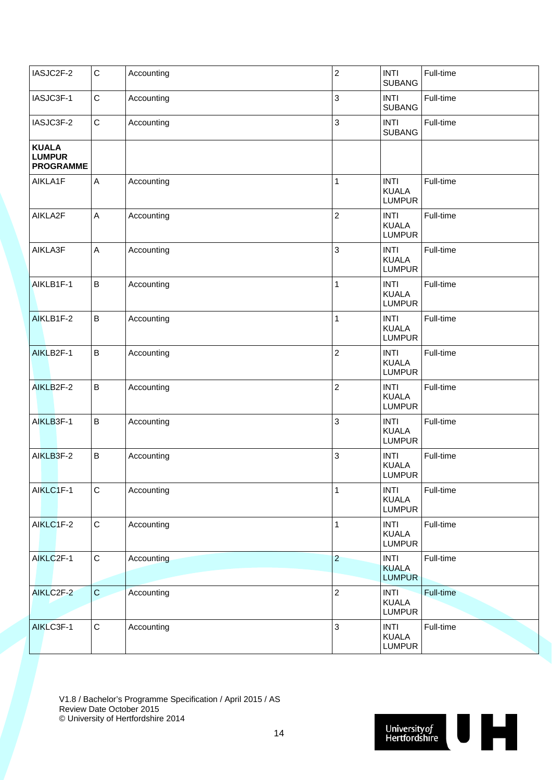| IASJC2F-2                                         | $\mathsf C$  | Accounting | $\overline{c}$ | <b>INTI</b><br><b>SUBANG</b>                 | Full-time |
|---------------------------------------------------|--------------|------------|----------------|----------------------------------------------|-----------|
| IASJC3F-1                                         | $\mathbf C$  | Accounting | 3              | <b>INTI</b><br><b>SUBANG</b>                 | Full-time |
| IASJC3F-2                                         | $\mathbf C$  | Accounting | 3              | <b>INTI</b><br><b>SUBANG</b>                 | Full-time |
| <b>KUALA</b><br><b>LUMPUR</b><br><b>PROGRAMME</b> |              |            |                |                                              |           |
| AIKLA1F                                           | A            | Accounting | 1              | <b>INTI</b><br><b>KUALA</b><br><b>LUMPUR</b> | Full-time |
| AIKLA2F                                           | A            | Accounting | $\overline{c}$ | <b>INTI</b><br><b>KUALA</b><br><b>LUMPUR</b> | Full-time |
| AIKLA3F                                           | A            | Accounting | 3              | <b>INTI</b><br><b>KUALA</b><br><b>LUMPUR</b> | Full-time |
| AIKLB1F-1                                         | $\, {\bf B}$ | Accounting | 1              | <b>INTI</b><br><b>KUALA</b><br><b>LUMPUR</b> | Full-time |
| AIKLB1F-2                                         | $\sf B$      | Accounting | 1              | <b>INTI</b><br><b>KUALA</b><br><b>LUMPUR</b> | Full-time |
| AIKLB2F-1                                         | $\, {\bf B}$ | Accounting | $\overline{c}$ | <b>INTI</b><br><b>KUALA</b><br><b>LUMPUR</b> | Full-time |
| AIKLB2F-2                                         | $\sf B$      | Accounting | $\overline{c}$ | <b>INTI</b><br><b>KUALA</b><br><b>LUMPUR</b> | Full-time |
| AIKLB3F-1                                         | $\sf B$      | Accounting | 3              | <b>INTI</b><br><b>KUALA</b><br><b>LUMPUR</b> | Full-time |
| AIKLB3F-2                                         | $\sf B$      | Accounting | 3              | <b>INTI</b><br><b>KUALA</b><br><b>LUMPUR</b> | Full-time |
| AIKLC1F-1                                         | ${\bf C}$    | Accounting | $\mathbf{1}$   | <b>INTI</b><br><b>KUALA</b><br><b>LUMPUR</b> | Full-time |
| AIKLC1F-2                                         | $\mathbf C$  | Accounting | $\mathbf{1}$   | <b>INTI</b><br><b>KUALA</b><br><b>LUMPUR</b> | Full-time |
| AIKLC2F-1                                         | $\mathbf C$  | Accounting | $\overline{2}$ | <b>INTI</b><br><b>KUALA</b><br><b>LUMPUR</b> | Full-time |
| AIKLC2F-2                                         | $\mathbf C$  | Accounting | $\overline{2}$ | <b>INTI</b><br><b>KUALA</b><br><b>LUMPUR</b> | Full-time |
| AIKLC3F-1                                         | $\mathsf C$  | Accounting | $\mathbf{3}$   | <b>INTI</b><br><b>KUALA</b><br><b>LUMPUR</b> | Full-time |

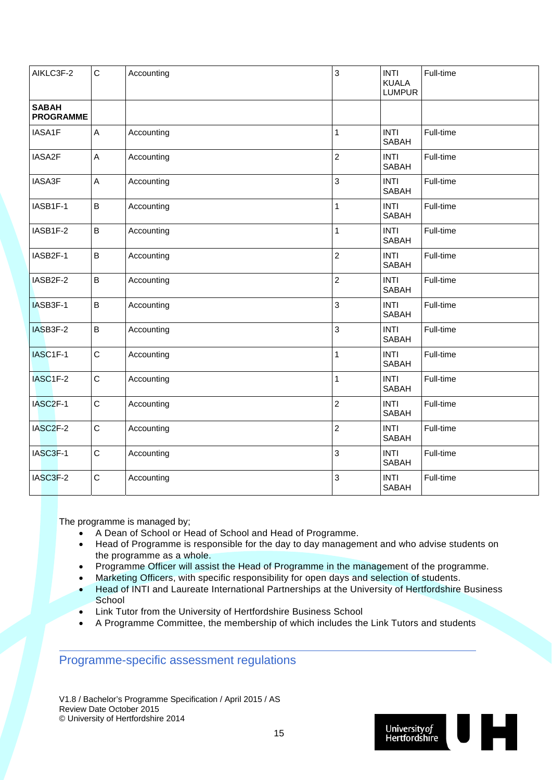| AIKLC3F-2                        | $\mathsf C$  | Accounting | 3              | <b>INTI</b><br><b>KUALA</b><br><b>LUMPUR</b> | Full-time |
|----------------------------------|--------------|------------|----------------|----------------------------------------------|-----------|
| <b>SABAH</b><br><b>PROGRAMME</b> |              |            |                |                                              |           |
| IASA1F                           | $\mathsf A$  | Accounting | 1              | <b>INTI</b><br><b>SABAH</b>                  | Full-time |
| IASA2F                           | $\mathsf A$  | Accounting | 2              | <b>INTI</b><br><b>SABAH</b>                  | Full-time |
| IASA3F                           | A            | Accounting | 3              | <b>INTI</b><br><b>SABAH</b>                  | Full-time |
| IASB1F-1                         | B            | Accounting | 1              | <b>INTI</b><br><b>SABAH</b>                  | Full-time |
| IASB1F-2                         | B            | Accounting | 1              | <b>INTI</b><br><b>SABAH</b>                  | Full-time |
| IASB2F-1                         | B            | Accounting | $\overline{2}$ | <b>INTI</b><br><b>SABAH</b>                  | Full-time |
| IASB2F-2                         | B            | Accounting | $\overline{c}$ | <b>INTI</b><br><b>SABAH</b>                  | Full-time |
| IASB3F-1                         | $\sf B$      | Accounting | 3              | <b>INTI</b><br><b>SABAH</b>                  | Full-time |
| IASB3F-2                         | B            | Accounting | 3              | <b>INTI</b><br><b>SABAH</b>                  | Full-time |
| IASC1F-1                         | $\mathsf C$  | Accounting | 1              | <b>INTI</b><br><b>SABAH</b>                  | Full-time |
| IASC1F-2                         | $\mathsf{C}$ | Accounting | 1              | <b>INTI</b><br><b>SABAH</b>                  | Full-time |
| IASC2F-1                         | $\mathsf{C}$ | Accounting | $\overline{c}$ | <b>INTI</b><br><b>SABAH</b>                  | Full-time |
| IASC2F-2                         | $\mathsf{C}$ | Accounting | $\overline{2}$ | <b>INTI</b><br><b>SABAH</b>                  | Full-time |
| IASC3F-1                         | $\mathsf C$  | Accounting | 3              | <b>INTI</b><br><b>SABAH</b>                  | Full-time |
| IASC3F-2                         | $\mathsf C$  | Accounting | 3              | <b>INTI</b><br><b>SABAH</b>                  | Full-time |

The programme is managed by;

- A Dean of School or Head of School and Head of Programme.
- Head of Programme is responsible for the day to day management and who advise students on the programme as a whole.
- Programme Officer will assist the Head of Programme in the management of the programme.
- Marketing Officers, with specific responsibility for open days and selection of students.
- Head of INTI and Laureate International Partnerships at the University of Hertfordshire Business **School**
- Link Tutor from the University of Hertfordshire Business School
- A Programme Committee, the membership of which includes the Link Tutors and students

Programme-specific assessment regulations

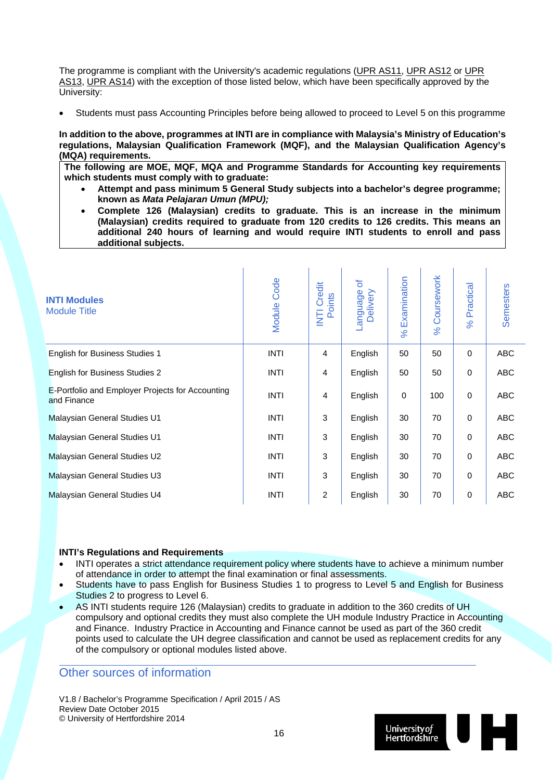The programme is compliant with the University's academic regulations (UPR AS11, UPR AS12 or UPR AS13, UPR AS14) with the exception of those listed below, which have been specifically approved by the University:

Students must pass Accounting Principles before being allowed to proceed to Level 5 on this programme

**In addition to the above, programmes at INTI are in compliance with Malaysia's Ministry of Education's regulations, Malaysian Qualification Framework (MQF), and the Malaysian Qualification Agency's (MQA) requirements.** 

**The following are MOE, MQF, MQA and Programme Standards for Accounting key requirements which students must comply with to graduate:** 

- **Attempt and pass minimum 5 General Study subjects into a bachelor's degree programme; known as** *Mata Pelajaran Umun (MPU);*
- **Complete 126 (Malaysian) credits to graduate. This is an increase in the minimum (Malaysian) credits required to graduate from 120 credits to 126 credits. This means an additional 240 hours of learning and would require INTI students to enroll and pass additional subjects.**

| <b>INTI Modules</b><br><b>Module Title</b>                      | <b>Module Code</b> | Credit<br>Points<br>E | ৳<br>-anguage<br>Delivery | Examination<br>$\aleph$ | Coursework<br>$\aleph$ | Practical<br>$\aleph$ | <b>Semesters</b> |
|-----------------------------------------------------------------|--------------------|-----------------------|---------------------------|-------------------------|------------------------|-----------------------|------------------|
| <b>English for Business Studies 1</b>                           | <b>INTI</b>        | 4                     | English                   | 50                      | 50                     | $\mathbf 0$           | <b>ABC</b>       |
| <b>English for Business Studies 2</b>                           | <b>INTI</b>        | 4                     | English                   | 50                      | 50                     | $\mathbf 0$           | <b>ABC</b>       |
| E-Portfolio and Employer Projects for Accounting<br>and Finance | <b>INTI</b>        | 4                     | English                   | $\mathbf 0$             | 100                    | $\mathbf 0$           | ABC              |
| <b>Malaysian General Studies U1</b>                             | <b>INTI</b>        | 3                     | English                   | 30                      | 70                     | $\mathbf 0$           | <b>ABC</b>       |
| Malaysian General Studies U1                                    | <b>INTI</b>        | 3                     | English                   | 30                      | 70                     | $\mathbf 0$           | <b>ABC</b>       |
| Malaysian General Studies U2                                    | <b>INTI</b>        | 3                     | English                   | 30                      | 70                     | $\mathbf 0$           | <b>ABC</b>       |
| Malaysian General Studies U3                                    | <b>INTI</b>        | 3                     | English                   | 30                      | 70                     | $\mathbf 0$           | <b>ABC</b>       |
| Malaysian General Studies U4                                    | <b>INTI</b>        | 2                     | English                   | 30                      | 70                     | 0                     | ABC              |

#### **INTI's Regulations and Requirements**

- INTI operates a strict attendance requirement policy where students have to achieve a minimum number of attendance in order to attempt the final examination or final assessments.
- Students have to pass English for Business Studies 1 to progress to Level 5 and English for Business Studies 2 to progress to Level 6.
- AS INTI students require 126 (Malaysian) credits to graduate in addition to the 360 credits of UH compulsory and optional credits they must also complete the UH module Industry Practice in Accounting and Finance. Industry Practice in Accounting and Finance cannot be used as part of the 360 credit points used to calculate the UH degree classification and cannot be used as replacement credits for any of the compulsory or optional modules listed above.

### Other sources of information

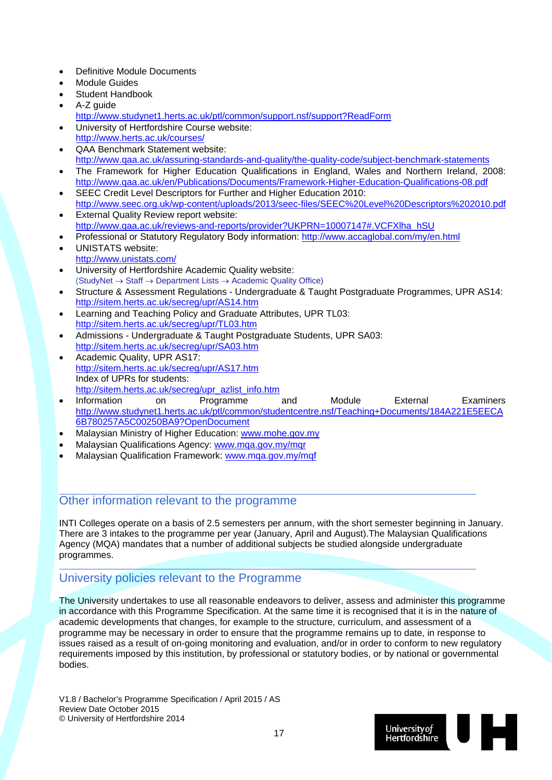- Definitive Module Documents
- Module Guides
- Student Handbook
- A-Z guide
	- http://www.studynet1.herts.ac.uk/ptl/common/support.nsf/support?ReadForm
- University of Hertfordshire Course website: http://www.herts.ac.uk/courses/
- QAA Benchmark Statement website: http://www.qaa.ac.uk/assuring-standards-and-quality/the-quality-code/subject-benchmark-statements
- The Framework for Higher Education Qualifications in England, Wales and Northern Ireland, 2008: http://www.qaa.ac.uk/en/Publications/Documents/Framework-Higher-Education-Qualifications-08.pdf
- SEEC Credit Level Descriptors for Further and Higher Education 2010: http://www.seec.org.uk/wp-content/uploads/2013/seec-files/SEEC%20Level%20Descriptors%202010.pdf External Quality Review report website:
- http://www.qaa.ac.uk/reviews-and-reports/provider?UKPRN=10007147#.VCFXlha\_hSU
- Professional or Statutory Regulatory Body information: http://www.accaglobal.com/my/en.html
- UNISTATS website: http://www.unistats.com/
- University of Hertfordshire Academic Quality website:  $(StudyNet \rightarrow Staff \rightarrow Department Lists \rightarrow Academic Quality Office)$
- Structure & Assessment Regulations Undergraduate & Taught Postgraduate Programmes, UPR AS14: http://sitem.herts.ac.uk/secreg/upr/AS14.htm
- Learning and Teaching Policy and Graduate Attributes, UPR TL03: http://sitem.herts.ac.uk/secreg/upr/TL03.htm
- Admissions Undergraduate & Taught Postgraduate Students, UPR SA03: http://sitem.herts.ac.uk/secreg/upr/SA03.htm
- Academic Quality, UPR AS17: http://sitem.herts.ac.uk/secreg/upr/AS17.htm Index of UPRs for students: http://sitem.herts.ac.uk/secreg/upr\_azlist\_info.htm
- Information on Programme and Module External Examiners http://www.studynet1.herts.ac.uk/ptl/common/studentcentre.nsf/Teaching+Documents/184A221E5EECA 6B780257A5C00250BA9?OpenDocument
- Malaysian Ministry of Higher Education: www.mohe.gov.my
- Malaysian Qualifications Agency: www.mqa.gov.my/mqr
- Malaysian Qualification Framework: www.mqa.gov.my/mqf

### Other information relevant to the programme

INTI Colleges operate on a basis of 2.5 semesters per annum, with the short semester beginning in January. There are 3 intakes to the programme per year (January, April and August).The Malaysian Qualifications Agency (MQA) mandates that a number of additional subjects be studied alongside undergraduate programmes.

### University policies relevant to the Programme

The University undertakes to use all reasonable endeavors to deliver, assess and administer this programme in accordance with this Programme Specification. At the same time it is recognised that it is in the nature of academic developments that changes, for example to the structure, curriculum, and assessment of a programme may be necessary in order to ensure that the programme remains up to date, in response to issues raised as a result of on-going monitoring and evaluation, and/or in order to conform to new regulatory requirements imposed by this institution, by professional or statutory bodies, or by national or governmental bodies.

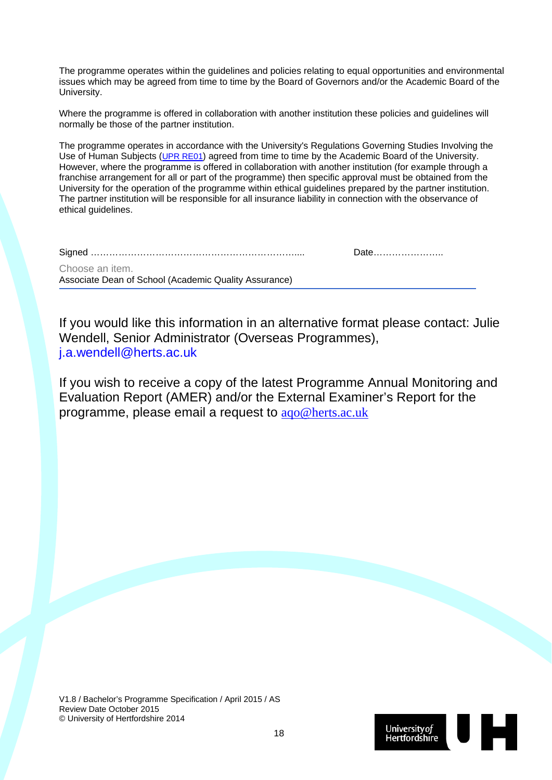The programme operates within the guidelines and policies relating to equal opportunities and environmental issues which may be agreed from time to time by the Board of Governors and/or the Academic Board of the University.

Where the programme is offered in collaboration with another institution these policies and guidelines will normally be those of the partner institution.

The programme operates in accordance with the University's Regulations Governing Studies Involving the Use of Human Subjects (UPR RE01) agreed from time to time by the Academic Board of the University. However, where the programme is offered in collaboration with another institution (for example through a franchise arrangement for all or part of the programme) then specific approval must be obtained from the University for the operation of the programme within ethical guidelines prepared by the partner institution. The partner institution will be responsible for all insurance liability in connection with the observance of ethical quidelines.

|--|--|--|

Date……………………

Choose an item. Associate Dean of School (Academic Quality Assurance)

If you would like this information in an alternative format please contact: Julie Wendell, Senior Administrator (Overseas Programmes), j.a.wendell@herts.ac.uk

If you wish to receive a copy of the latest Programme Annual Monitoring and Evaluation Report (AMER) and/or the External Examiner's Report for the programme, please email a request to aqo@herts.ac.uk

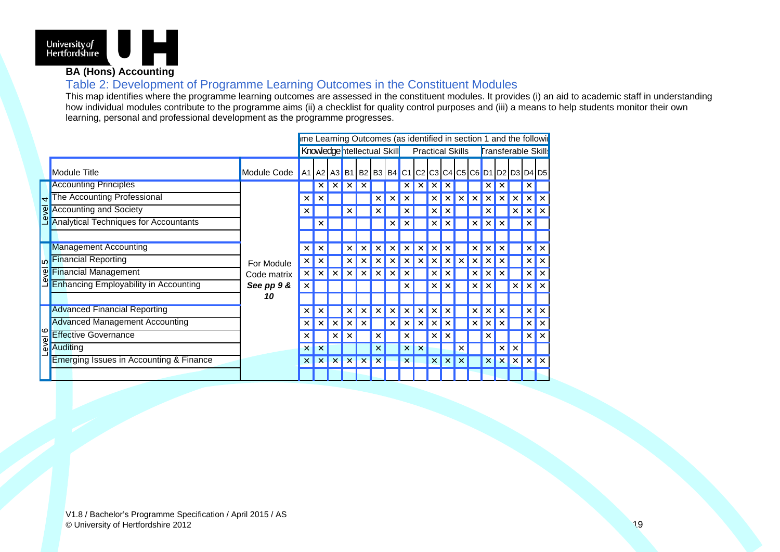

### **BA (Hons) Accounting**

### Table 2: Development of Programme Learning Outcomes in the Constituent Modules

This map identifies where the programme learning outcomes are assessed in the constituent modules. It provides (i) an aid to academic staff in understanding how individual modules contribute to the programme aims (ii) a checklist for quality control purposes and (iii) a means to help students monitor their own learning, personal and professional development as the programme progresses.

|             |                                              |                           | me Learning Outcomes (as identified in section 1 and the followir |                   |              |                       |                           |                             |   |   |                         |   |   |   |   |                            |                           |                 |            |                     |     |  |
|-------------|----------------------------------------------|---------------------------|-------------------------------------------------------------------|-------------------|--------------|-----------------------|---------------------------|-----------------------------|---|---|-------------------------|---|---|---|---|----------------------------|---------------------------|-----------------|------------|---------------------|-----|--|
|             |                                              |                           |                                                                   |                   |              |                       |                           | Knowledge ntellectual Skill |   |   | <b>Practical Skills</b> |   |   |   |   | <b>Transferable Skills</b> |                           |                 |            |                     |     |  |
|             | <b>Module Title</b>                          | Module Code               | A1 A2 A3 B1 B2 B3 B4 C1 C2 C3 C4 C5 C6 D1 D2 D3 D4 D5             |                   |              |                       |                           |                             |   |   |                         |   |   |   |   |                            |                           |                 |            |                     |     |  |
|             | <b>Accounting Principles</b>                 |                           |                                                                   | $\times$          |              |                       |                           |                             |   |   |                         |   |   |   |   |                            |                           |                 | $\times$   |                     |     |  |
| 4           | The Accounting Professional                  |                           | $\times$                                                          |                   |              |                       |                           | x                           |   |   |                         |   |   |   |   | ×                          | ×                         | $\times$        | $\times$   |                     |     |  |
| 图           | <b>Accounting and Society</b>                |                           | $\times$                                                          |                   |              |                       |                           | х                           |   |   |                         | × |   |   |   |                            |                           | ×               | $\times$   | l x                 |     |  |
| O           | <b>Analytical Techniques for Accountants</b> |                           |                                                                   |                   |              |                       |                           |                             |   |   |                         |   |   |   |   |                            |                           |                 | $\times$   |                     |     |  |
|             |                                              | For Module<br>Code matrix |                                                                   |                   |              |                       |                           |                             |   |   |                         |   |   |   |   |                            |                           |                 |            |                     |     |  |
| <b>LO</b>   | <b>Management Accounting</b>                 |                           |                                                                   | x                 |              |                       |                           |                             |   |   |                         |   |   |   |   |                            |                           |                 |            | $\times$            | l x |  |
|             | <b>Financial Reporting</b>                   |                           | ×                                                                 |                   |              |                       |                           |                             |   |   |                         |   |   |   |   |                            |                           |                 | $\times$   | l x                 |     |  |
| evel        | <b>Financial Management</b>                  |                           | $\times$                                                          |                   |              |                       |                           |                             |   |   |                         |   |   |   |   |                            |                           |                 | $\times$   | $\mathsf{I} \times$ |     |  |
|             | <b>Enhancing Employability in Accounting</b> | See pp 9 &                | ×                                                                 |                   |              |                       |                           |                             |   |   |                         |   |   |   |   |                            |                           |                 | $\times$   | l x                 |     |  |
|             |                                              | 10                        |                                                                   |                   |              |                       |                           |                             |   |   |                         |   |   |   |   |                            |                           |                 |            |                     |     |  |
|             | <b>Advanced Financial Reporting</b>          |                           | ×                                                                 |                   |              |                       |                           |                             |   |   |                         | x |   |   | × | ×                          | $\times$                  |                 | $\times$   | l x                 |     |  |
|             | <b>Advanced Management Accounting</b>        |                           | ×                                                                 | $\times$          | ×            |                       |                           |                             | × |   |                         |   |   |   | × | ×                          | ×                         |                 | $\times$   | l x                 |     |  |
| ∣∞          | <b>Effective Governance</b>                  |                           | ×                                                                 |                   | ×            |                       |                           | ×                           |   |   |                         |   |   |   |   |                            |                           |                 | $\times$   | l x                 |     |  |
| <b>lave</b> | <b>Auditing</b>                              |                           | $\times$                                                          |                   |              |                       |                           | x                           |   | × |                         |   |   |   |   |                            | ×                         | ×               |            |                     |     |  |
|             | Emerging Issues in Accounting & Finance      |                           | $\times$                                                          | $\vert$ X $\vert$ | $\mathsf{X}$ | $\boldsymbol{\times}$ | $\boldsymbol{\mathsf{x}}$ | ×                           |   | x |                         | x | x | × |   | $\times$                   | $\boldsymbol{\mathsf{x}}$ | $\vert x \vert$ | $x \mid x$ |                     |     |  |
|             |                                              |                           |                                                                   |                   |              |                       |                           |                             |   |   |                         |   |   |   |   |                            |                           |                 |            |                     |     |  |